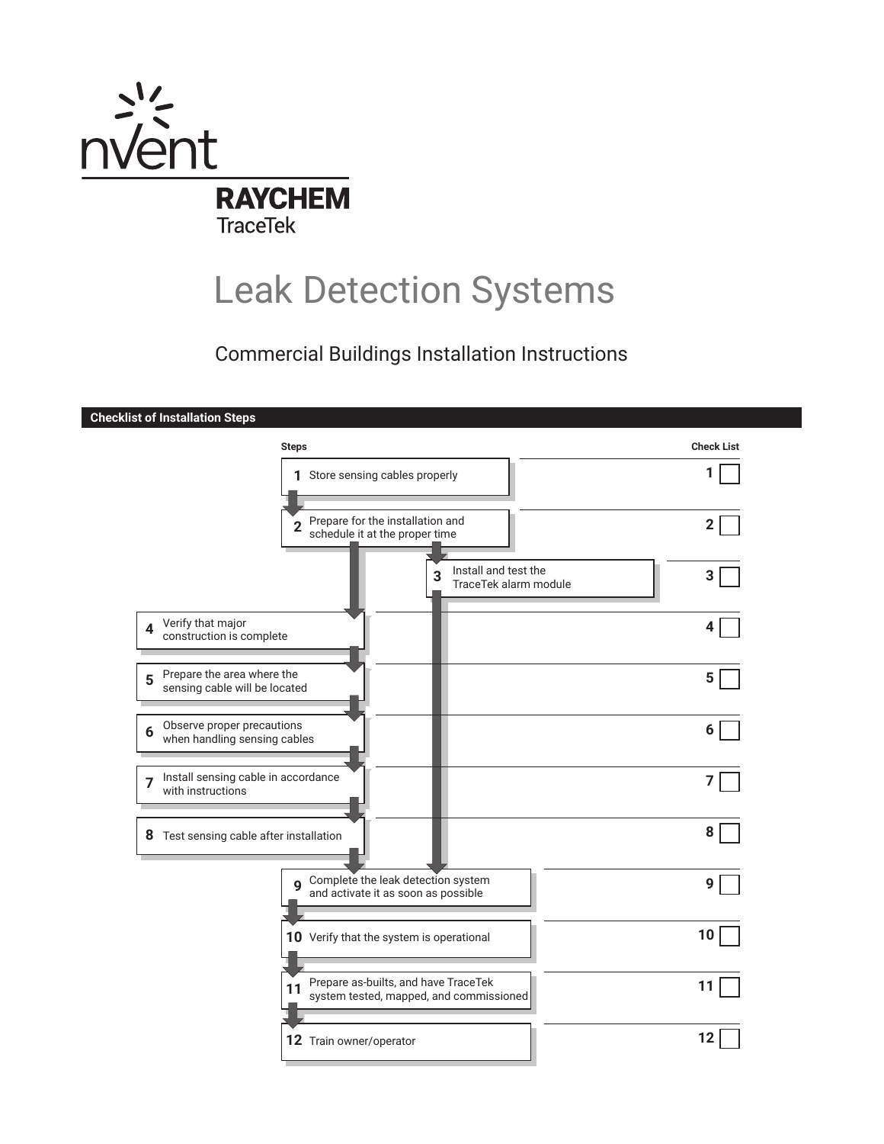

# Leak Detection Systems

# Commercial Buildings Installation Instructions

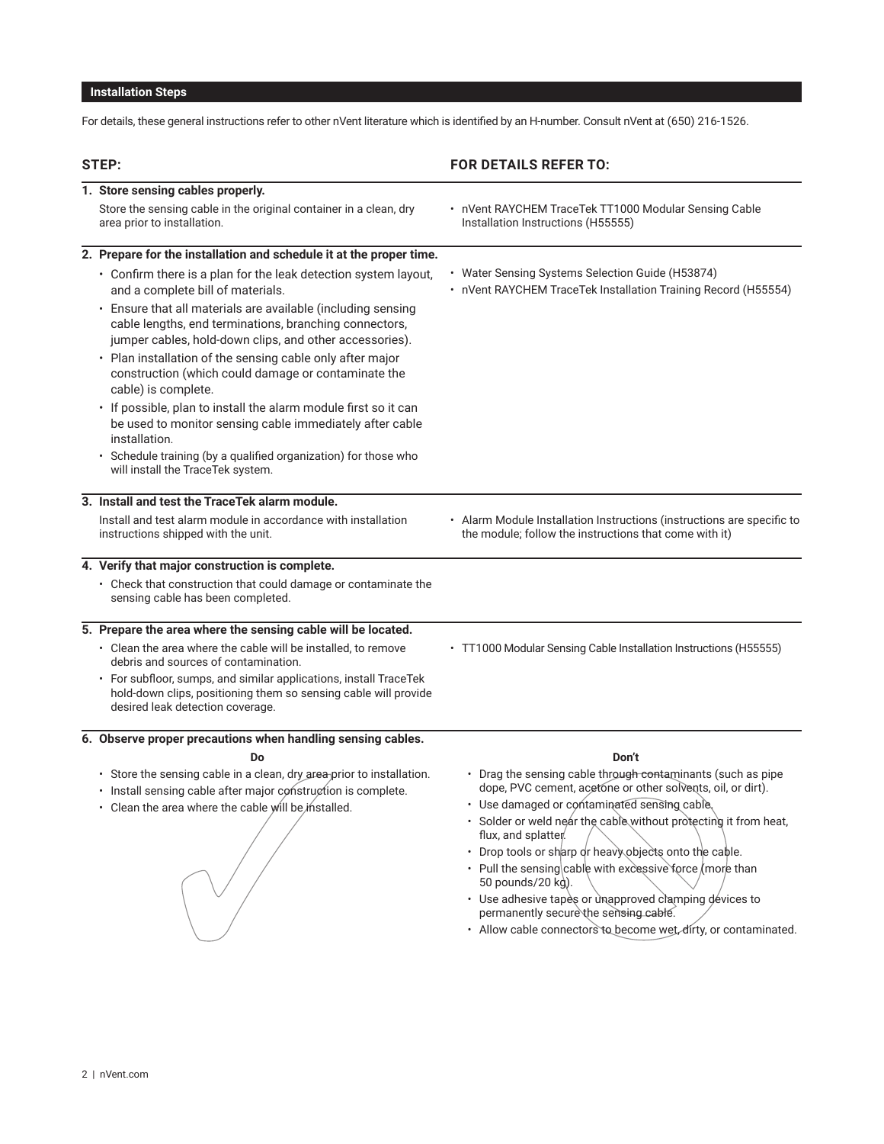# **Installation Steps**

For details, these general instructions refer to other nVent literature which is identified by an H-number. Consult nVent at (650) 216-1526.

| 1. Store sensing cables properly.<br>Store the sensing cable in the original container in a clean, dry<br>• nVent RAYCHEM TraceTek TT1000 Modular Sensing Cable<br>area prior to installation.<br>Installation Instructions (H55555)<br>2. Prepare for the installation and schedule it at the proper time.<br>• Water Sensing Systems Selection Guide (H53874)<br>• Confirm there is a plan for the leak detection system layout,<br>and a complete bill of materials.<br>• Ensure that all materials are available (including sensing<br>cable lengths, end terminations, branching connectors,<br>jumper cables, hold-down clips, and other accessories).<br>• Plan installation of the sensing cable only after major<br>construction (which could damage or contaminate the<br>cable) is complete.<br>· If possible, plan to install the alarm module first so it can<br>be used to monitor sensing cable immediately after cable<br>installation.<br>· Schedule training (by a qualified organization) for those who<br>will install the TraceTek system.<br>3. Install and test the TraceTek alarm module.<br>Install and test alarm module in accordance with installation<br>• Alarm Module Installation Instructions (instructions are specific to<br>instructions shipped with the unit.<br>the module; follow the instructions that come with it)<br>4. Verify that major construction is complete.<br>• Check that construction that could damage or contaminate the<br>sensing cable has been completed.<br>5. Prepare the area where the sensing cable will be located.<br>• Clean the area where the cable will be installed, to remove<br>• TT1000 Modular Sensing Cable Installation Instructions (H55555)<br>debris and sources of contamination.<br>• For subfloor, sumps, and similar applications, install TraceTek<br>hold-down clips, positioning them so sensing cable will provide<br>desired leak detection coverage.<br>6. Observe proper precautions when handling sensing cables.<br>Do<br>Don't<br>• Drag the sensing cable through contaminants (such as pipe<br>• Store the sensing cable in a clean, dry area prior to installation.<br>dope, PVC cement, acetone or other solvents, oil, or dirt).<br>· Install sensing cable after major construction is complete.<br>· Use damaged or contaminated sensing cable,<br>• Clean the area where the cable will be installed.<br>· Solder or weld near the cable without protecting it from heat,<br>flux, and splatter.<br>• Drop tools or sharp or heavy objects onto the cable.<br>• Pull the sensing cable with excessive force (more than<br>50 pounds/20 kg).<br>• Use adhesive tapes or unapproved clamping devices to<br>permanently secure the sensing cable. |                                                                |
|--------------------------------------------------------------------------------------------------------------------------------------------------------------------------------------------------------------------------------------------------------------------------------------------------------------------------------------------------------------------------------------------------------------------------------------------------------------------------------------------------------------------------------------------------------------------------------------------------------------------------------------------------------------------------------------------------------------------------------------------------------------------------------------------------------------------------------------------------------------------------------------------------------------------------------------------------------------------------------------------------------------------------------------------------------------------------------------------------------------------------------------------------------------------------------------------------------------------------------------------------------------------------------------------------------------------------------------------------------------------------------------------------------------------------------------------------------------------------------------------------------------------------------------------------------------------------------------------------------------------------------------------------------------------------------------------------------------------------------------------------------------------------------------------------------------------------------------------------------------------------------------------------------------------------------------------------------------------------------------------------------------------------------------------------------------------------------------------------------------------------------------------------------------------------------------------------------------------------------------------------------------------------------------------------------------------------------------------------------------------------------------------------------------------------------------------------------------------------------------------------------------------------------------------------------------------------------------------------------------------------------------------------------------------------------------------------------------------------------------------------------|----------------------------------------------------------------|
|                                                                                                                                                                                                                                                                                                                                                                                                                                                                                                                                                                                                                                                                                                                                                                                                                                                                                                                                                                                                                                                                                                                                                                                                                                                                                                                                                                                                                                                                                                                                                                                                                                                                                                                                                                                                                                                                                                                                                                                                                                                                                                                                                                                                                                                                                                                                                                                                                                                                                                                                                                                                                                                                                                                                                        |                                                                |
|                                                                                                                                                                                                                                                                                                                                                                                                                                                                                                                                                                                                                                                                                                                                                                                                                                                                                                                                                                                                                                                                                                                                                                                                                                                                                                                                                                                                                                                                                                                                                                                                                                                                                                                                                                                                                                                                                                                                                                                                                                                                                                                                                                                                                                                                                                                                                                                                                                                                                                                                                                                                                                                                                                                                                        |                                                                |
|                                                                                                                                                                                                                                                                                                                                                                                                                                                                                                                                                                                                                                                                                                                                                                                                                                                                                                                                                                                                                                                                                                                                                                                                                                                                                                                                                                                                                                                                                                                                                                                                                                                                                                                                                                                                                                                                                                                                                                                                                                                                                                                                                                                                                                                                                                                                                                                                                                                                                                                                                                                                                                                                                                                                                        |                                                                |
|                                                                                                                                                                                                                                                                                                                                                                                                                                                                                                                                                                                                                                                                                                                                                                                                                                                                                                                                                                                                                                                                                                                                                                                                                                                                                                                                                                                                                                                                                                                                                                                                                                                                                                                                                                                                                                                                                                                                                                                                                                                                                                                                                                                                                                                                                                                                                                                                                                                                                                                                                                                                                                                                                                                                                        | • nVent RAYCHEM TraceTek Installation Training Record (H55554) |
|                                                                                                                                                                                                                                                                                                                                                                                                                                                                                                                                                                                                                                                                                                                                                                                                                                                                                                                                                                                                                                                                                                                                                                                                                                                                                                                                                                                                                                                                                                                                                                                                                                                                                                                                                                                                                                                                                                                                                                                                                                                                                                                                                                                                                                                                                                                                                                                                                                                                                                                                                                                                                                                                                                                                                        |                                                                |
|                                                                                                                                                                                                                                                                                                                                                                                                                                                                                                                                                                                                                                                                                                                                                                                                                                                                                                                                                                                                                                                                                                                                                                                                                                                                                                                                                                                                                                                                                                                                                                                                                                                                                                                                                                                                                                                                                                                                                                                                                                                                                                                                                                                                                                                                                                                                                                                                                                                                                                                                                                                                                                                                                                                                                        |                                                                |
|                                                                                                                                                                                                                                                                                                                                                                                                                                                                                                                                                                                                                                                                                                                                                                                                                                                                                                                                                                                                                                                                                                                                                                                                                                                                                                                                                                                                                                                                                                                                                                                                                                                                                                                                                                                                                                                                                                                                                                                                                                                                                                                                                                                                                                                                                                                                                                                                                                                                                                                                                                                                                                                                                                                                                        |                                                                |
|                                                                                                                                                                                                                                                                                                                                                                                                                                                                                                                                                                                                                                                                                                                                                                                                                                                                                                                                                                                                                                                                                                                                                                                                                                                                                                                                                                                                                                                                                                                                                                                                                                                                                                                                                                                                                                                                                                                                                                                                                                                                                                                                                                                                                                                                                                                                                                                                                                                                                                                                                                                                                                                                                                                                                        |                                                                |
|                                                                                                                                                                                                                                                                                                                                                                                                                                                                                                                                                                                                                                                                                                                                                                                                                                                                                                                                                                                                                                                                                                                                                                                                                                                                                                                                                                                                                                                                                                                                                                                                                                                                                                                                                                                                                                                                                                                                                                                                                                                                                                                                                                                                                                                                                                                                                                                                                                                                                                                                                                                                                                                                                                                                                        |                                                                |
|                                                                                                                                                                                                                                                                                                                                                                                                                                                                                                                                                                                                                                                                                                                                                                                                                                                                                                                                                                                                                                                                                                                                                                                                                                                                                                                                                                                                                                                                                                                                                                                                                                                                                                                                                                                                                                                                                                                                                                                                                                                                                                                                                                                                                                                                                                                                                                                                                                                                                                                                                                                                                                                                                                                                                        |                                                                |
|                                                                                                                                                                                                                                                                                                                                                                                                                                                                                                                                                                                                                                                                                                                                                                                                                                                                                                                                                                                                                                                                                                                                                                                                                                                                                                                                                                                                                                                                                                                                                                                                                                                                                                                                                                                                                                                                                                                                                                                                                                                                                                                                                                                                                                                                                                                                                                                                                                                                                                                                                                                                                                                                                                                                                        |                                                                |
|                                                                                                                                                                                                                                                                                                                                                                                                                                                                                                                                                                                                                                                                                                                                                                                                                                                                                                                                                                                                                                                                                                                                                                                                                                                                                                                                                                                                                                                                                                                                                                                                                                                                                                                                                                                                                                                                                                                                                                                                                                                                                                                                                                                                                                                                                                                                                                                                                                                                                                                                                                                                                                                                                                                                                        |                                                                |
|                                                                                                                                                                                                                                                                                                                                                                                                                                                                                                                                                                                                                                                                                                                                                                                                                                                                                                                                                                                                                                                                                                                                                                                                                                                                                                                                                                                                                                                                                                                                                                                                                                                                                                                                                                                                                                                                                                                                                                                                                                                                                                                                                                                                                                                                                                                                                                                                                                                                                                                                                                                                                                                                                                                                                        |                                                                |
|                                                                                                                                                                                                                                                                                                                                                                                                                                                                                                                                                                                                                                                                                                                                                                                                                                                                                                                                                                                                                                                                                                                                                                                                                                                                                                                                                                                                                                                                                                                                                                                                                                                                                                                                                                                                                                                                                                                                                                                                                                                                                                                                                                                                                                                                                                                                                                                                                                                                                                                                                                                                                                                                                                                                                        |                                                                |
|                                                                                                                                                                                                                                                                                                                                                                                                                                                                                                                                                                                                                                                                                                                                                                                                                                                                                                                                                                                                                                                                                                                                                                                                                                                                                                                                                                                                                                                                                                                                                                                                                                                                                                                                                                                                                                                                                                                                                                                                                                                                                                                                                                                                                                                                                                                                                                                                                                                                                                                                                                                                                                                                                                                                                        |                                                                |
|                                                                                                                                                                                                                                                                                                                                                                                                                                                                                                                                                                                                                                                                                                                                                                                                                                                                                                                                                                                                                                                                                                                                                                                                                                                                                                                                                                                                                                                                                                                                                                                                                                                                                                                                                                                                                                                                                                                                                                                                                                                                                                                                                                                                                                                                                                                                                                                                                                                                                                                                                                                                                                                                                                                                                        |                                                                |
|                                                                                                                                                                                                                                                                                                                                                                                                                                                                                                                                                                                                                                                                                                                                                                                                                                                                                                                                                                                                                                                                                                                                                                                                                                                                                                                                                                                                                                                                                                                                                                                                                                                                                                                                                                                                                                                                                                                                                                                                                                                                                                                                                                                                                                                                                                                                                                                                                                                                                                                                                                                                                                                                                                                                                        |                                                                |
|                                                                                                                                                                                                                                                                                                                                                                                                                                                                                                                                                                                                                                                                                                                                                                                                                                                                                                                                                                                                                                                                                                                                                                                                                                                                                                                                                                                                                                                                                                                                                                                                                                                                                                                                                                                                                                                                                                                                                                                                                                                                                                                                                                                                                                                                                                                                                                                                                                                                                                                                                                                                                                                                                                                                                        |                                                                |
|                                                                                                                                                                                                                                                                                                                                                                                                                                                                                                                                                                                                                                                                                                                                                                                                                                                                                                                                                                                                                                                                                                                                                                                                                                                                                                                                                                                                                                                                                                                                                                                                                                                                                                                                                                                                                                                                                                                                                                                                                                                                                                                                                                                                                                                                                                                                                                                                                                                                                                                                                                                                                                                                                                                                                        |                                                                |
|                                                                                                                                                                                                                                                                                                                                                                                                                                                                                                                                                                                                                                                                                                                                                                                                                                                                                                                                                                                                                                                                                                                                                                                                                                                                                                                                                                                                                                                                                                                                                                                                                                                                                                                                                                                                                                                                                                                                                                                                                                                                                                                                                                                                                                                                                                                                                                                                                                                                                                                                                                                                                                                                                                                                                        |                                                                |
| · Allow cable connectors to become wet, dirty, or contaminated.                                                                                                                                                                                                                                                                                                                                                                                                                                                                                                                                                                                                                                                                                                                                                                                                                                                                                                                                                                                                                                                                                                                                                                                                                                                                                                                                                                                                                                                                                                                                                                                                                                                                                                                                                                                                                                                                                                                                                                                                                                                                                                                                                                                                                                                                                                                                                                                                                                                                                                                                                                                                                                                                                        |                                                                |
|                                                                                                                                                                                                                                                                                                                                                                                                                                                                                                                                                                                                                                                                                                                                                                                                                                                                                                                                                                                                                                                                                                                                                                                                                                                                                                                                                                                                                                                                                                                                                                                                                                                                                                                                                                                                                                                                                                                                                                                                                                                                                                                                                                                                                                                                                                                                                                                                                                                                                                                                                                                                                                                                                                                                                        |                                                                |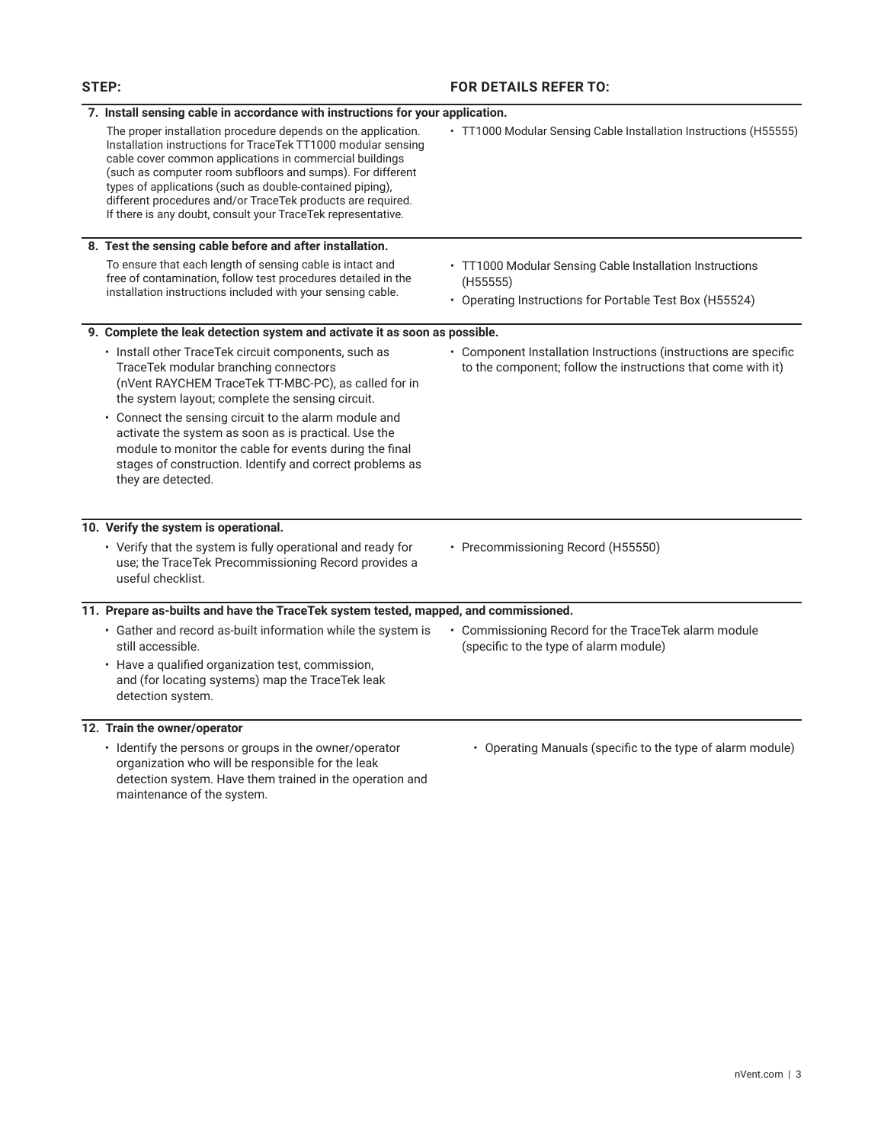## **STEP: FOR DETAILS REFER TO:**

| 7. Install sensing cable in accordance with instructions for your application.                                                                                                                                                                                                                                                                                                                                                                                          |                                                                                                                                  |
|-------------------------------------------------------------------------------------------------------------------------------------------------------------------------------------------------------------------------------------------------------------------------------------------------------------------------------------------------------------------------------------------------------------------------------------------------------------------------|----------------------------------------------------------------------------------------------------------------------------------|
| The proper installation procedure depends on the application.<br>Installation instructions for TraceTek TT1000 modular sensing<br>cable cover common applications in commercial buildings<br>(such as computer room subfloors and sumps). For different<br>types of applications (such as double-contained piping),<br>different procedures and/or TraceTek products are required.<br>If there is any doubt, consult your TraceTek representative.                      | • TT1000 Modular Sensing Cable Installation Instructions (H55555)                                                                |
| 8. Test the sensing cable before and after installation.                                                                                                                                                                                                                                                                                                                                                                                                                |                                                                                                                                  |
| To ensure that each length of sensing cable is intact and<br>free of contamination, follow test procedures detailed in the<br>installation instructions included with your sensing cable.                                                                                                                                                                                                                                                                               | • TT1000 Modular Sensing Cable Installation Instructions<br>(H55555)<br>• Operating Instructions for Portable Test Box (H55524)  |
| 9. Complete the leak detection system and activate it as soon as possible.                                                                                                                                                                                                                                                                                                                                                                                              |                                                                                                                                  |
| · Install other TraceTek circuit components, such as<br>TraceTek modular branching connectors<br>(nVent RAYCHEM TraceTek TT-MBC-PC), as called for in<br>the system layout; complete the sensing circuit.<br>• Connect the sensing circuit to the alarm module and<br>activate the system as soon as is practical. Use the<br>module to monitor the cable for events during the final<br>stages of construction. Identify and correct problems as<br>they are detected. | • Component Installation Instructions (instructions are specific<br>to the component; follow the instructions that come with it) |
| 10. Verify the system is operational.                                                                                                                                                                                                                                                                                                                                                                                                                                   |                                                                                                                                  |
| • Verify that the system is fully operational and ready for<br>use; the TraceTek Precommissioning Record provides a<br>useful checklist.                                                                                                                                                                                                                                                                                                                                | • Precommissioning Record (H55550)                                                                                               |
| 11. Prepare as-builts and have the TraceTek system tested, mapped, and commissioned.                                                                                                                                                                                                                                                                                                                                                                                    |                                                                                                                                  |
| • Gather and record as-built information while the system is<br>still accessible.<br>• Have a qualified organization test, commission,<br>and (for locating systems) map the TraceTek leak<br>detection system.                                                                                                                                                                                                                                                         | • Commissioning Record for the TraceTek alarm module<br>(specific to the type of alarm module)                                   |
| 12. Train the owner/operator                                                                                                                                                                                                                                                                                                                                                                                                                                            |                                                                                                                                  |
| · Identify the persons or groups in the owner/operator<br>organization who will be responsible for the leak<br>detection system. Have them trained in the operation and<br>maintenance of the system.                                                                                                                                                                                                                                                                   | • Operating Manuals (specific to the type of alarm module)                                                                       |